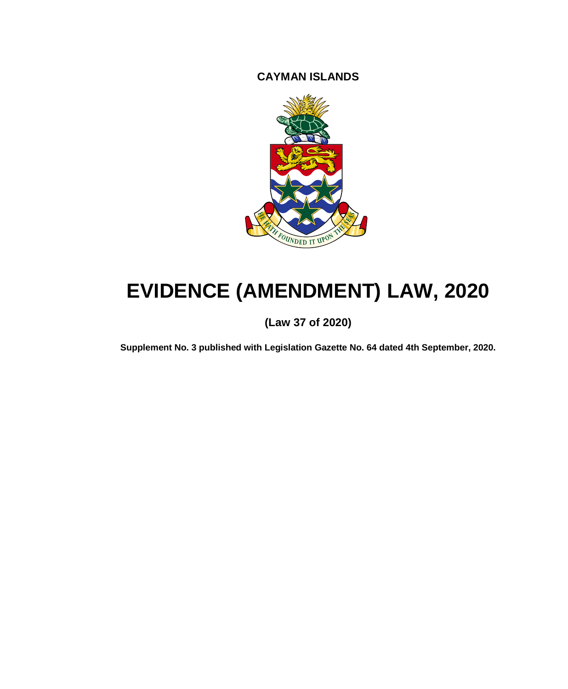**CAYMAN ISLANDS**



# **EVIDENCE (AMENDMENT) LAW, 2020**

# **(Law 37 of 2020)**

**Supplement No. 3 published with Legislation Gazette No. 64 dated 4th September, 2020.**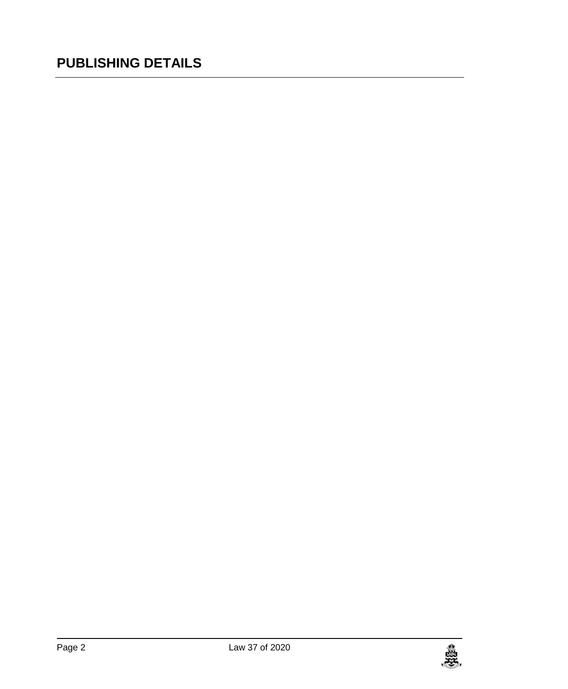# **PUBLISHING DETAILS**

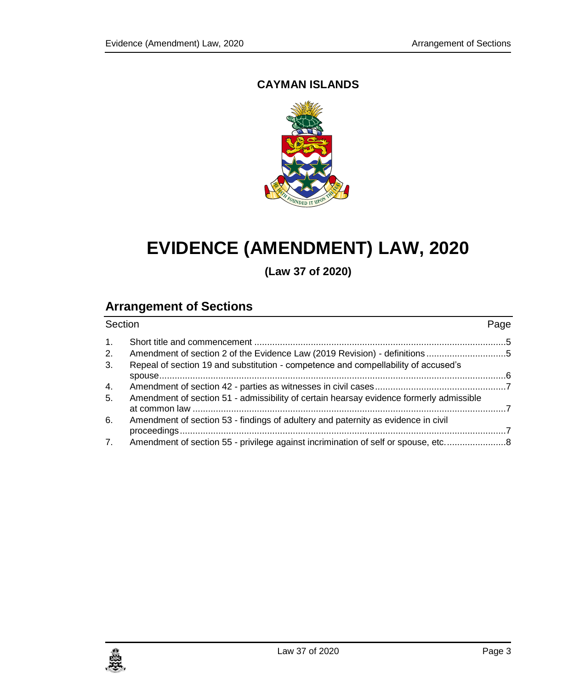# **CAYMAN ISLANDS**



# **EVIDENCE (AMENDMENT) LAW, 2020**

**(Law 37 of 2020)**

# **Arrangement of Sections**

| Section |                                                                                         | Page |
|---------|-----------------------------------------------------------------------------------------|------|
| 1.      |                                                                                         |      |
| 2.      |                                                                                         |      |
| 3.      | Repeal of section 19 and substitution - competence and compellability of accused's      |      |
|         |                                                                                         |      |
| 4.      |                                                                                         |      |
| 5.      | Amendment of section 51 - admissibility of certain hearsay evidence formerly admissible |      |
| 6.      | Amendment of section 53 - findings of adultery and paternity as evidence in civil       |      |
| 7.      | Amendment of section 55 - privilege against incrimination of self or spouse, etc8       |      |

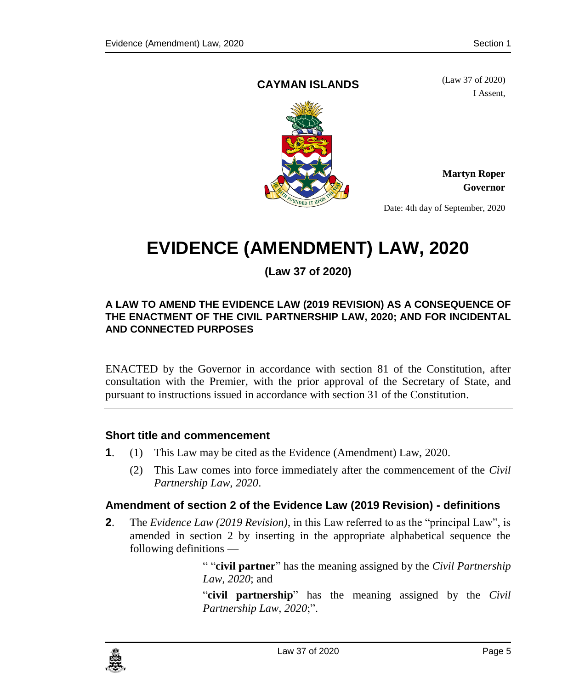## <span id="page-4-0"></span>**CAYMAN ISLANDS**

(Law 37 of 2020) I Assent,



**Martyn Roper Governor**

Date: 4th day of September, 2020

# **EVIDENCE (AMENDMENT) LAW, 2020**

# **(Law 37 of 2020)**

#### **A LAW TO AMEND THE EVIDENCE LAW (2019 REVISION) AS A CONSEQUENCE OF THE ENACTMENT OF THE CIVIL PARTNERSHIP LAW, 2020; AND FOR INCIDENTAL AND CONNECTED PURPOSES**

ENACTED by the Governor in accordance with section 81 of the Constitution, after consultation with the Premier, with the prior approval of the Secretary of State, and pursuant to instructions issued in accordance with section 31 of the Constitution.

### **1. Short title and commencement**

- **1**. (1) This Law may be cited as the Evidence (Amendment) Law, 2020.
	- (2) This Law comes into force immediately after the commencement of the *Civil Partnership Law, 2020*.

# <span id="page-4-1"></span>**2. Amendment of section 2 of the Evidence Law (2019 Revision) - definitions**

**2**. The *Evidence Law (2019 Revision)*, in this Law referred to as the "principal Law", is amended in section 2 by inserting in the appropriate alphabetical sequence the following definitions —

> " "**civil partner**" has the meaning assigned by the *Civil Partnership Law, 2020*; and

> "**civil partnership**" has the meaning assigned by the *Civil Partnership Law, 2020*;".

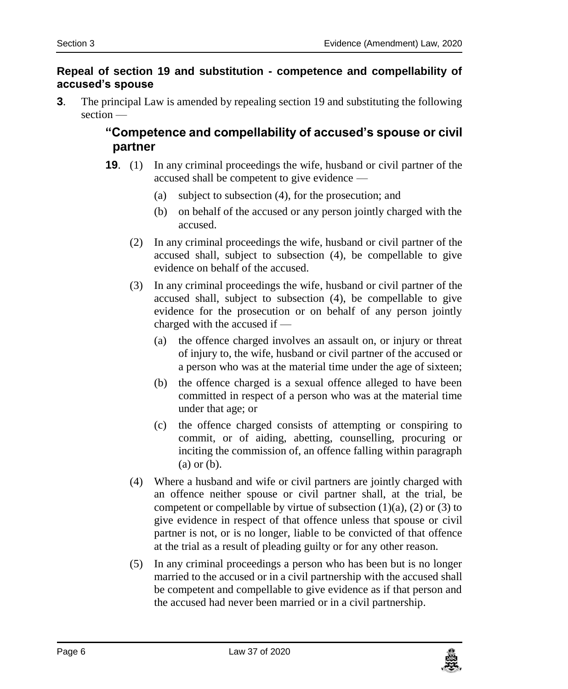## <span id="page-5-0"></span>**3. Repeal of section 19 and substitution - competence and compellability of accused's spouse**

**3**. The principal Law is amended by repealing section 19 and substituting the following section —

# **"Competence and compellability of accused's spouse or civil partner**

- **19**. (1) In any criminal proceedings the wife, husband or civil partner of the accused shall be competent to give evidence —
	- (a) subject to subsection (4), for the prosecution; and
	- (b) on behalf of the accused or any person jointly charged with the accused.
	- (2) In any criminal proceedings the wife, husband or civil partner of the accused shall, subject to subsection (4), be compellable to give evidence on behalf of the accused.
	- (3) In any criminal proceedings the wife, husband or civil partner of the accused shall, subject to subsection (4), be compellable to give evidence for the prosecution or on behalf of any person jointly charged with the accused if —
		- (a) the offence charged involves an assault on, or injury or threat of injury to, the wife, husband or civil partner of the accused or a person who was at the material time under the age of sixteen;
		- (b) the offence charged is a sexual offence alleged to have been committed in respect of a person who was at the material time under that age; or
		- (c) the offence charged consists of attempting or conspiring to commit, or of aiding, abetting, counselling, procuring or inciting the commission of, an offence falling within paragraph (a) or (b).
	- (4) Where a husband and wife or civil partners are jointly charged with an offence neither spouse or civil partner shall, at the trial, be competent or compellable by virtue of subsection  $(1)(a)$ ,  $(2)$  or  $(3)$  to give evidence in respect of that offence unless that spouse or civil partner is not, or is no longer, liable to be convicted of that offence at the trial as a result of pleading guilty or for any other reason.
	- (5) In any criminal proceedings a person who has been but is no longer married to the accused or in a civil partnership with the accused shall be competent and compellable to give evidence as if that person and the accused had never been married or in a civil partnership.

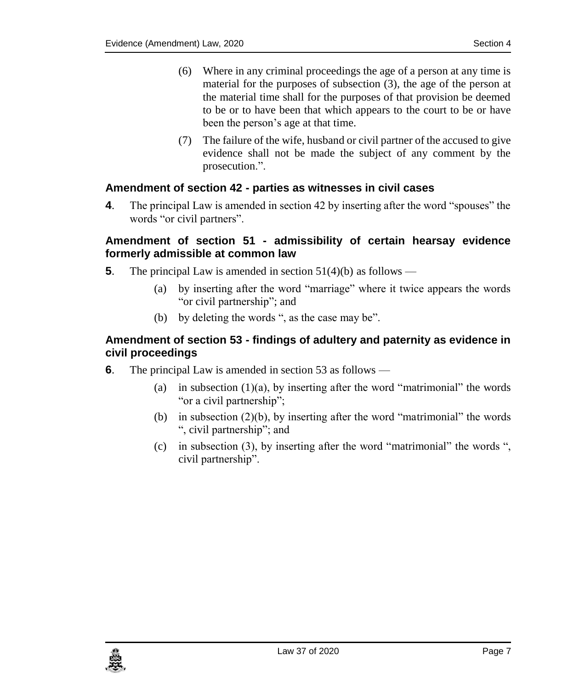- (6) Where in any criminal proceedings the age of a person at any time is material for the purposes of subsection (3), the age of the person at the material time shall for the purposes of that provision be deemed to be or to have been that which appears to the court to be or have been the person's age at that time.
- (7) The failure of the wife, husband or civil partner of the accused to give evidence shall not be made the subject of any comment by the prosecution.".

# <span id="page-6-0"></span>**4. Amendment of section 42 - parties as witnesses in civil cases**

**4**. The principal Law is amended in section 42 by inserting after the word "spouses" the words "or civil partners".

### <span id="page-6-1"></span>**5. Amendment of section 51 - admissibility of certain hearsay evidence formerly admissible at common law**

- **5**. The principal Law is amended in section 51(4)(b) as follows
	- (a) by inserting after the word "marriage" where it twice appears the words "or civil partnership"; and
	- (b) by deleting the words ", as the case may be".

# <span id="page-6-2"></span>**6. Amendment of section 53 - findings of adultery and paternity as evidence in civil proceedings**

- **6**. The principal Law is amended in section 53 as follows
	- (a) in subsection  $(1)(a)$ , by inserting after the word "matrimonial" the words "or a civil partnership";
	- (b) in subsection  $(2)(b)$ , by inserting after the word "matrimonial" the words ", civil partnership"; and
	- (c) in subsection (3), by inserting after the word "matrimonial" the words ", civil partnership".